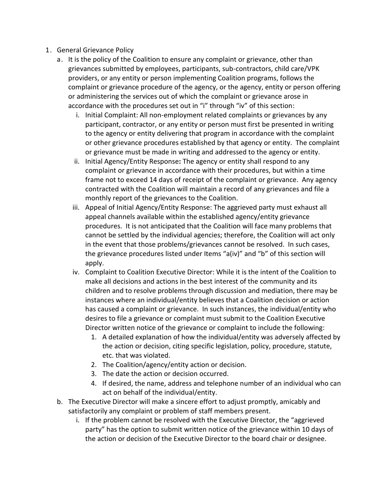- 1. General Grievance Policy
	- a. It is the policy of the Coalition to ensure any complaint or grievance, other than grievances submitted by employees, participants, sub-contractors, child care/VPK providers, or any entity or person implementing Coalition programs, follows the complaint or grievance procedure of the agency, or the agency, entity or person offering or administering the services out of which the complaint or grievance arose in accordance with the procedures set out in "i" through "iv" of this section:
		- i. Initial Complaint: All non-employment related complaints or grievances by any participant, contractor, or any entity or person must first be presented in writing to the agency or entity delivering that program in accordance with the complaint or other grievance procedures established by that agency or entity. The complaint or grievance must be made in writing and addressed to the agency or entity.
		- ii. Initial Agency/Entity Response**:** The agency or entity shall respond to any complaint or grievance in accordance with their procedures, but within a time frame not to exceed 14 days of receipt of the complaint or grievance. Any agency contracted with the Coalition will maintain a record of any grievances and file a monthly report of the grievances to the Coalition.
		- iii. Appeal of Initial Agency/Entity Response: The aggrieved party must exhaust all appeal channels available within the established agency/entity grievance procedures. It is not anticipated that the Coalition will face many problems that cannot be settled by the individual agencies; therefore, the Coalition will act only in the event that those problems/grievances cannot be resolved. In such cases, the grievance procedures listed under Items "a(iv)" and "b" of this section will apply.
		- iv. Complaint to Coalition Executive Director: While it is the intent of the Coalition to make all decisions and actions in the best interest of the community and its children and to resolve problems through discussion and mediation, there may be instances where an individual/entity believes that a Coalition decision or action has caused a complaint or grievance. In such instances, the individual/entity who desires to file a grievance or complaint must submit to the Coalition Executive Director written notice of the grievance or complaint to include the following:
			- 1. A detailed explanation of how the individual/entity was adversely affected by the action or decision, citing specific legislation, policy, procedure, statute, etc. that was violated.
			- 2. The Coalition/agency/entity action or decision.
			- 3. The date the action or decision occurred.
			- 4. If desired, the name, address and telephone number of an individual who can act on behalf of the individual/entity.
	- b. The Executive Director will make a sincere effort to adjust promptly, amicably and satisfactorily any complaint or problem of staff members present.
		- i. If the problem cannot be resolved with the Executive Director, the "aggrieved party" has the option to submit written notice of the grievance within 10 days of the action or decision of the Executive Director to the board chair or designee.